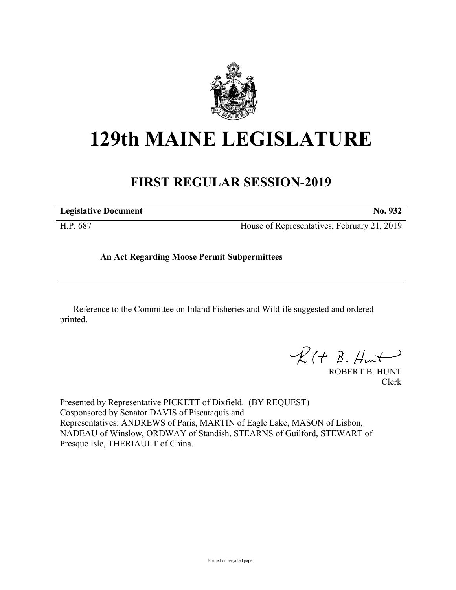

# **129th MAINE LEGISLATURE**

# **FIRST REGULAR SESSION-2019**

**Legislative Document No. 932** H.P. 687 House of Representatives, February 21, 2019

**An Act Regarding Moose Permit Subpermittees**

Reference to the Committee on Inland Fisheries and Wildlife suggested and ordered printed.

 $R(H B. H<sup>u</sup>)$ 

ROBERT B. HUNT Clerk

Presented by Representative PICKETT of Dixfield. (BY REQUEST) Cosponsored by Senator DAVIS of Piscataquis and Representatives: ANDREWS of Paris, MARTIN of Eagle Lake, MASON of Lisbon, NADEAU of Winslow, ORDWAY of Standish, STEARNS of Guilford, STEWART of Presque Isle, THERIAULT of China.